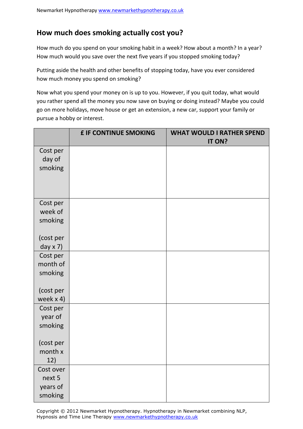## **How much does smoking actually cost you?**

How much do you spend on your smoking habit in a week? How about a month? In a year? How much would you save over the next five years if you stopped smoking today?

Putting aside the health and other benefits of stopping today, have you ever considered how much money you spend on smoking?

Now what you spend your money on is up to you. However, if you quit today, what would you rather spend all the money you now save on buying or doing instead? Maybe you could go on more holidays, move house or get an extension, a new car, support your family or pursue a hobby or interest.

|             | <b>£ IF CONTINUE SMOKING</b> | <b>WHAT WOULD I RATHER SPEND</b><br>IT ON? |
|-------------|------------------------------|--------------------------------------------|
| Cost per    |                              |                                            |
| day of      |                              |                                            |
| smoking     |                              |                                            |
|             |                              |                                            |
|             |                              |                                            |
| Cost per    |                              |                                            |
| week of     |                              |                                            |
| smoking     |                              |                                            |
|             |                              |                                            |
| (cost per   |                              |                                            |
| day $x 7$ ) |                              |                                            |
| Cost per    |                              |                                            |
| month of    |                              |                                            |
| smoking     |                              |                                            |
|             |                              |                                            |
| (cost per   |                              |                                            |
| week $x$ 4) |                              |                                            |
| Cost per    |                              |                                            |
| year of     |                              |                                            |
| smoking     |                              |                                            |
|             |                              |                                            |
| (cost per   |                              |                                            |
| month x     |                              |                                            |
| 12)         |                              |                                            |
| Cost over   |                              |                                            |
| next 5      |                              |                                            |
| years of    |                              |                                            |
| smoking     |                              |                                            |

Copyright © 2012 Newmarket Hypnotherapy. Hypnotherapy in Newmarket combining NLP, Hypnosis and Time Line Therapy www.newmarkethypnotherapy.co.uk